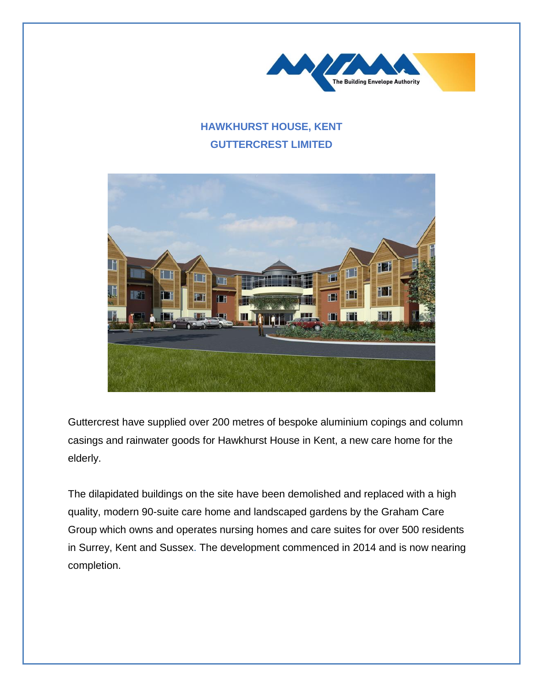

## **HAWKHURST HOUSE, KENT GUTTERCREST LIMITED**



Guttercrest have supplied over 200 metres of bespoke aluminium copings and column casings and rainwater goods for Hawkhurst House in Kent, a new care home for the elderly.

The dilapidated buildings on the site have been demolished and replaced with a high quality, modern 90-suite care home and landscaped gardens by the Graham Care Group which owns and operates nursing homes and care suites for over 500 residents in Surrey, Kent and Sussex. The development commenced in 2014 and is now nearing completion.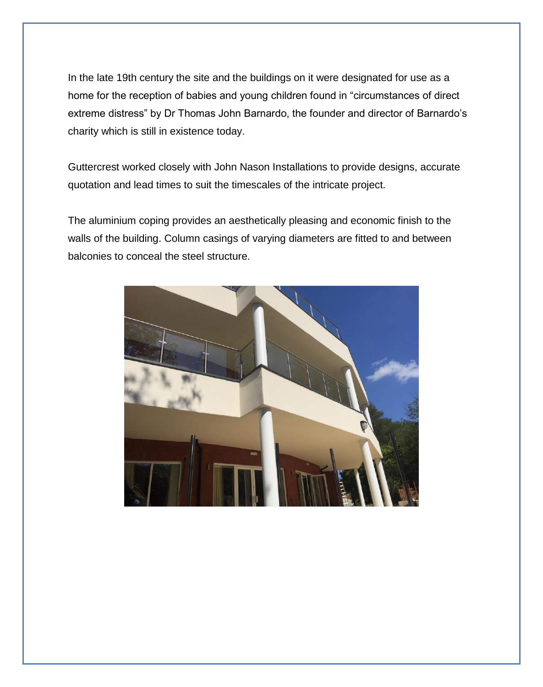In the late 19th century the site and the buildings on it were designated for use as a home for the reception of babies and young children found in "circumstances of direct extreme distress" by Dr Thomas John Barnardo, the founder and director of Barnardo's charity which is still in existence today.

Guttercrest worked closely with John Nason Installations to provide designs, accurate quotation and lead times to suit the timescales of the intricate project.

The aluminium coping provides an aesthetically pleasing and economic finish to the walls of the building. Column casings of varying diameters are fitted to and between balconies to conceal the steel structure.